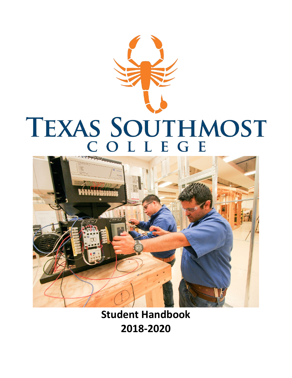



**Student Handbook 2018-2020**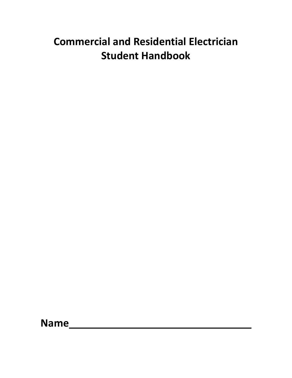# **Commercial and Residential Electrician Student Handbook**

**Name**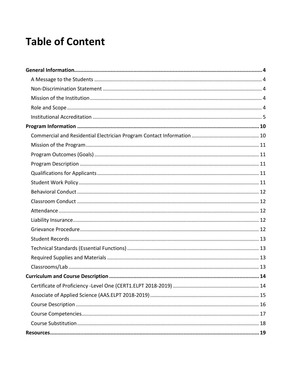# **Table of Content**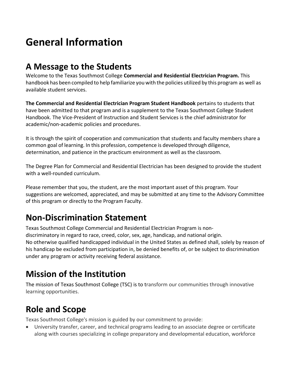# <span id="page-4-0"></span>**General Information**

### <span id="page-4-1"></span>**A Message to the Students**

Welcome to the Texas Southmost College **Commercial and Residential Electrician Program.** This handbook has been compiled to help familiarize you with the policies utilized by this program as well as available student services.

**The Commercial and Residential Electrician Program Student Handbook** pertains to students that have been admitted to that program and is a supplement to the Texas Southmost College Student Handbook. The Vice-President of Instruction and Student Services is the chief administrator for academic/non-academic policies and procedures.

It is through the spirit of cooperation and communication that students and faculty members share a common goal of learning. In this profession, competence is developed through diligence, determination, and patience in the practicum environment as well as the classroom.

The Degree Plan for Commercial and Residential Electrician has been designed to provide the student with a well-rounded curriculum.

Please remember that you, the student, are the most important asset of this program. Your suggestions are welcomed, appreciated, and may be submitted at any time to the Advisory Committee of this program or directly to the Program Faculty.

## <span id="page-4-2"></span>**Non-Discrimination Statement**

Texas Southmost College Commercial and Residential Electrician Program is nondiscriminatory in regard to race, creed, color, sex, age, handicap, and national origin. No otherwise qualified handicapped individual in the United States as defined shall, solely by reason of his handicap be excluded from participation in, be denied benefits of, or be subject to discrimination under any program or activity receiving federal assistance.

## <span id="page-4-3"></span>**Mission of the Institution**

The mission of Texas Southmost College (TSC) is to transform our communities through innovative learning opportunities.

## <span id="page-4-4"></span>**Role and Scope**

Texas Southmost College's mission is guided by our commitment to provide:

• University transfer, career, and technical programs leading to an associate degree or certificate along with courses specializing in college preparatory and developmental education, workforce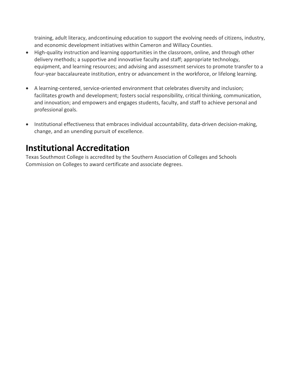training, adult literacy, andcontinuing education to support the evolving needs of citizens, industry, and economic development initiatives within Cameron and Willacy Counties.

- High-quality instruction and learning opportunities in the classroom, online, and through other delivery methods; a supportive and innovative faculty and staff; appropriate technology, equipment, and learning resources; and advising and assessment services to promote transfer to a four-year baccalaureate institution, entry or advancement in the workforce, or lifelong learning.
- A learning-centered, service-oriented environment that celebrates diversity and inclusion; facilitates growth and development; fosters social responsibility, critical thinking, communication, and innovation; and empowers and engages students, faculty, and staff to achieve personal and professional goals.
- Institutional effectiveness that embraces individual accountability, data-driven decision-making, change, and an unending pursuit of excellence.

### <span id="page-5-0"></span>**Institutional Accreditation**

Texas Southmost College is accredited by the Southern Association of Colleges and Schools Commission on Colleges to award certificate and associate degrees.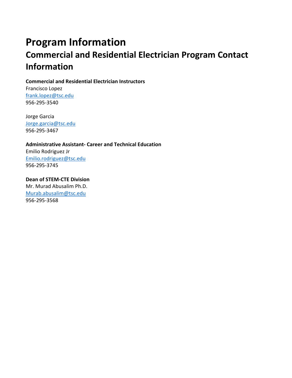# <span id="page-6-1"></span><span id="page-6-0"></span>**Program Information Commercial and Residential Electrician Program Contact Information**

**Commercial and Residential Electrician Instructors**

Francisco Lopez [frank.lopez@tsc.edu](mailto:frank.lopez@tsc.edu) 956-295-3540

Jorge Garcia [Jorge.garcia@tsc.edu](mailto:Jorge.garcia@tsc.edu) 956-295-3467

**Administrative Assistant- Career and Technical Education** Emilio Rodriguez Jr [Emilio.rodriguez@tsc.edu](mailto:Emilio.rodriguez@tsc.edu) 956-295-3745

**Dean of STEM-CTE Division**  Mr. Murad Abusalim Ph.D. [Murab.abusalim@tsc.edu](mailto:Murab.abusalim@tsc.edu) 956-295-3568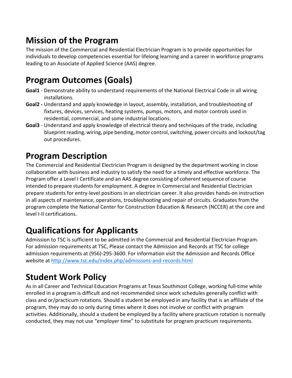## <span id="page-7-0"></span>**Mission of the Program**

The mission of the Commercial and Residential Electrician Program is to provide opportunities for individuals to develop competencies essential for lifelong learning and a career in workforce programs leading to an Associate of Applied Science (AAS) degree.

## <span id="page-7-1"></span>**Program Outcomes (Goals)**

- **Goal1**  Demonstrate ability to understand requirements of the National Electrical Code in all wiring installations.
- **Goal2 -** Understand and apply knowledge in layout, assembly, installation, and troubleshooting of fixtures, devices, services, heating systems, pumps, motors, and motor controls used in residential, commercial, and some industrial locations.
- **Goal3**  Understand and apply knowledge of electrical theory and techniques of the trade, including blueprint reading, wiring, pipe bending, motor control, switching, power circuits and lockout/tag out procedures.

## <span id="page-7-2"></span>**Program Description**

The Commercial and Residential Electrician Program is designed by the department working in close collaboration with business and industry to satisfy the need for a timely and effective workforce. The Program offer a Level I Certificate and an AAS degree consisting of coherent sequence of course intended to prepare students for employment. A degree in Commercial and Residential Electrician prepare students for entry-level positions in an electrician career. It also provides hands-on instruction in all aspects of maintenance, operations, troubleshooting and repair of circuits. Graduates from the program complete the National Center for Construction Education & Research (NCCER) at the core and level I-II certifications.

## <span id="page-7-3"></span>**Qualifications for Applicants**

Admission to TSC is sufficient to be admitted in the Commercial and Residential Electrician Program. For admission requirements at TSC, Please contact the Admission and Records at TSC for college admission requirements at (956)-295-3600. For information visit the Admission and Records Office website at<http://www.tsc.edu/index.php/admissions-and-records.html>

## <span id="page-7-4"></span>**Student Work Policy**

As in all Career and Technical Education Programs at Texas Southmost College, working full-time while enrolled in a program is difficult and not recommended since work schedules generally conflict with class and or/practicum rotations. Should a student be employed in any facility that is an affiliate of the program, they may do so only during times where it does not involve or conflict with program activities. Additionally, should a student be employed by a facility where practicum rotation is normally conducted, they may not use "employer time" to substitute for program practicum requirements.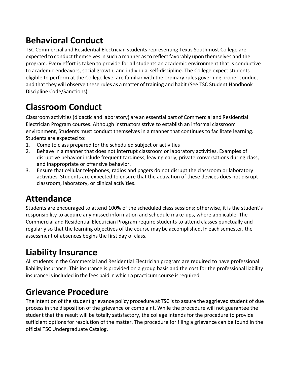## <span id="page-8-0"></span>**Behavioral Conduct**

TSC Commercial and Residential Electrician students representing Texas Southmost College are expected to conduct themselves in such a manner as to reflect favorably upon themselves and the program. Every effort is taken to provide for all students an academic environment that is conductive to academic endeavors, social growth, and individual self-discipline. The College expect students eligible to perform at the College level are familiar with the ordinary rules governing proper conduct and that they will observe these rules as a matter of training and habit (See TSC Student Handbook Discipline Code/Sanctions).

## <span id="page-8-1"></span>**Classroom Conduct**

Classroom activities(didactic and laboratory) are an essential part of Commercial and Residential Electrician Program courses. Although instructors strive to establish an informal classroom environment, Students must conduct themselves in a manner that continues to facilitate learning. Students are expected to:

- 1. Come to class prepared for the scheduled subject or activities
- 2. Behave in a manner that does not interrupt classroom or laboratory activities. Examples of disruptive behavior include frequent tardiness, leaving early, private conversations during class, and inappropriate or offensive behavior.
- 3. Ensure that cellular telephones, radios and pagers do not disrupt the classroom or laboratory activities. Students are expected to ensure that the activation of these devices does not disrupt classroom, laboratory, or clinical activities.

### <span id="page-8-2"></span>**Attendance**

Students are encouraged to attend 100% of the scheduled class sessions; otherwise, it is the student's responsibility to acquire any missed information and schedule make-ups, where applicable. The Commercial and Residential Electrician Program require students to attend classes punctually and regularly so that the learning objectives of the course may be accomplished. In each semester, the assessment of absences begins the first day of class.

## <span id="page-8-3"></span>**Liability Insurance**

All students in the Commercial and Residential Electrician program are required to have professional liability insurance. This insurance is provided on a group basis and the cost for the professional liability insurance is included in the fees paid in which a practicum course is required.

## <span id="page-8-4"></span>**Grievance Procedure**

The intention of the student grievance policy procedure at TSC is to assure the aggrieved student of due process in the disposition of the grievance or complaint. While the procedure will not guarantee the student that the result will be totally satisfactory, the college intends for the procedure to provide sufficient options for resolution of the matter. The procedure for filing a grievance can be found in the official TSC Undergraduate Catalog.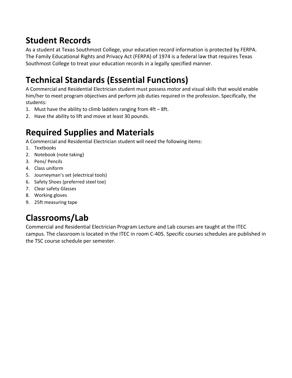## <span id="page-9-0"></span>**Student Records**

As a student at Texas Southmost College, your education record information is protected by FERPA. The Family Educational Rights and Privacy Act (FERPA) of 1974 is a federal law that requires Texas Southmost College to treat your education records in a legally specified manner.

## <span id="page-9-1"></span>**Technical Standards (Essential Functions)**

A Commercial and Residential Electrician student must possess motor and visual skills that would enable him/her to meet program objectives and perform job duties required in the profession. Specifically, the students:

- 1. Must have the ability to climb ladders ranging from 4ft 8ft.
- 2. Have the ability to lift and move at least 30 pounds.

## <span id="page-9-2"></span>**Required Supplies and Materials**

A Commercial and Residential Electrician student will need the following items:

- 1. Textbooks
- 2. Notebook (note taking)
- 3. Pens/ Pencils
- 4. Class uniform
- 5. Journeyman's set (electrical tools)
- 6. Safety Shoes (preferred steel toe)
- 7. Clear safety Glasses
- 8. Working gloves
- 9. 25ft measuring tape

# <span id="page-9-3"></span>**Classrooms/Lab**

Commercial and Residential Electrician Program Lecture and Lab courses are taught at the ITEC campus. The classroom is located in the ITEC in room C-405. Specific courses schedules are published in the TSC course schedule per semester.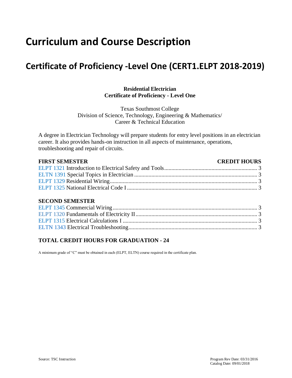# <span id="page-10-0"></span>**Curriculum and Course Description**

### <span id="page-10-1"></span>**Certificate of Proficiency -Level One (CERT1.ELPT 2018-2019)**

### **Residential Electrician Certificate of Proficiency - Level One**

Texas Southmost College Division of Science, Technology, Engineering & Mathematics/ Career & Technical Education

A degree in Electrician Technology will prepare students for entry level positions in an electrician career. It also provides hands-on instruction in all aspects of maintenance, operations, troubleshooting and repair of circuits.

| <b>FIRST SEMESTER</b> | <b>CREDIT HOURS</b> |
|-----------------------|---------------------|
|                       |                     |
|                       |                     |
|                       |                     |
|                       |                     |

#### **SECOND SEMESTER**

### **TOTAL CREDIT HOURS FOR GRADUATION - 24**

A minimum grade of "C" must be obtained in each (ELPT, ELTN) course required in the certificate plan.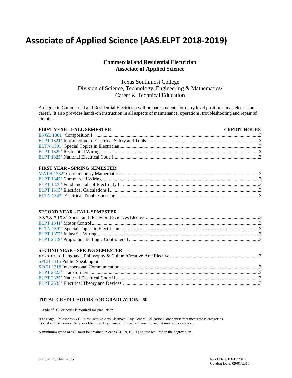### <span id="page-11-0"></span>**Associate of Applied Science (AAS.ELPT 2018-2019)**

### **Commercial and Residential Electrician Associate of Applied Science**

Texas Southmost College Division of Science, Technology, Engineering & Mathematics/ Career & Technical Education

A degree in Commercial and Residential Electrician will prepare students for entry level positions in an electrician career. It also provides hands-on instruction in all aspects of maintenance, operations, troubleshooting and repair of circuits.

#### **FIRST YEAR - FALL SEMESTER CREDIT HOURS** ENGL 1301<sup>+</sup> Composition I ......................................................................................................................................... 3 ELPT 1321<sup>+</sup> Introduction to Electrical Safety and Tools ............................................................................................. 3 ELTN 1391<sup>+</sup> Special Topics in Electrician .................................................................................................................... 3 ELPT 1329<sup>+</sup> Residential Wiring .................................................................................................................................... 3 ELPT 1325<sup>+</sup> National Electrical Code I ........................................................................................................................ 3

#### **FIRST YEAR - SPRING SEMESTER**

#### **SECOND YEAR - FALL SEMESTER**

#### **SECOND YEAR - SPRING SEMESTER**

| SPCH 1315 Public Speaking or |  |
|------------------------------|--|
|                              |  |
|                              |  |
|                              |  |
|                              |  |

#### **TOTAL CREDIT HOURS FOR GRADUATION - 60**

<sup>+</sup>Grade of "C" or better is required for graduation.

<sup>1</sup>Language, Philosophy & Culture/Creative Arts Electives: Any General Education Core course that meets these categories <sup>2</sup>Social and Behavioral Sciences Elective: Any General Education Core course that meets this category.

A minimum grade of "C" must be obtained in each (ELTN, ELPT) course required in the degree plan.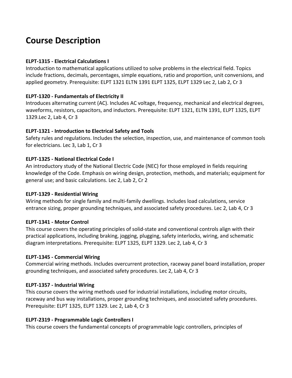### <span id="page-12-0"></span>**Course Description**

### **ELPT-1315 - Electrical Calculations I**

Introduction to mathematical applications utilized to solve problems in the electrical field. Topics include fractions, decimals, percentages, simple equations, ratio and proportion, unit conversions, and applied geometry. Prerequisite: ELPT 1321 ELTN 1391 ELPT 1325, ELPT 1329 Lec 2, Lab 2, Cr 3

### **ELPT-1320 - Fundamentals of Electricity II**

Introduces alternating current (AC). Includes AC voltage, frequency, mechanical and electrical degrees, waveforms, resistors, capacitors, and inductors. Prerequisite: ELPT 1321, ELTN 1391, ELPT 1325, ELPT 1329.Lec 2, Lab 4, Cr 3

### **ELPT-1321 - Introduction to Electrical Safety and Tools**

Safety rules and regulations. Includes the selection, inspection, use, and maintenance of common tools for electricians. Lec 3, Lab 1, Cr 3

### **ELPT-1325 - National Electrical Code I**

An introductory study of the National Electric Code (NEC) for those employed in fields requiring knowledge of the Code. Emphasis on wiring design, protection, methods, and materials; equipment for general use; and basic calculations. Lec 2, Lab 2, Cr 2

### **ELPT-1329 - Residential Wiring**

Wiring methods for single family and multi-family dwellings. Includes load calculations, service entrance sizing, proper grounding techniques, and associated safety procedures. Lec 2, Lab 4, Cr 3

### **ELPT-1341 - Motor Control**

This course covers the operating principles of solid-state and conventional controls align with their practical applications, including braking, jogging, plugging, safety interlocks, wiring, and schematic diagram interpretations. Prerequisite: ELPT 1325, ELPT 1329. Lec 2, Lab 4, Cr 3

### **ELPT-1345 - Commercial Wiring**

Commercial wiring methods. Includes overcurrent protection, raceway panel board installation, proper grounding techniques, and associated safety procedures. Lec 2, Lab 4, Cr 3

### **ELPT-1357 - Industrial Wiring**

This course covers the wiring methods used for industrial installations, including motor circuits, raceway and bus way installations, proper grounding techniques, and associated safety procedures. Prerequisite: ELPT 1325, ELPT 1329. Lec 2, Lab 4, Cr 3

### **ELPT-2319 - Programmable Logic Controllers I**

This course covers the fundamental concepts of programmable logic controllers, principles of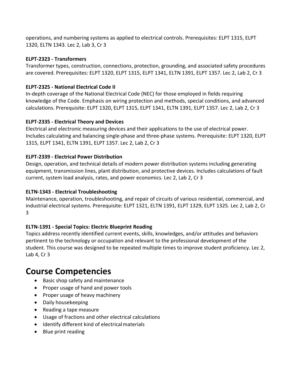operations, and numbering systems as applied to electrical controls. Prerequisites: ELPT 1315, ELPT 1320, ELTN 1343. Lec 2, Lab 3, Cr 3

### **ELPT-2323 - Transformers**

Transformer types, construction, connections, protection, grounding, and associated safety procedures are covered. Prerequisites: ELPT 1320, ELPT 1315, ELPT 1341, ELTN 1391, ELPT 1357. Lec 2, Lab 2, Cr 3

### **ELPT-2325 - National Electrical Code II**

In-depth coverage of the National Electrical Code (NEC) for those employed in fields requiring knowledge of the Code. Emphasis on wiring protection and methods, special conditions, and advanced calculations. Prerequisite: ELPT 1320, ELPT 1315, ELPT 1341, ELTN 1391, ELPT 1357. Lec 2, Lab 2, Cr 3

### **ELPT-2335 - Electrical Theory and Devices**

Electrical and electronic measuring devices and their applications to the use of electrical power. Includes calculating and balancing single-phase and three-phase systems. Prerequisite: ELPT 1320, ELPT 1315, ELPT 1341, ELTN 1391, ELPT 1357. Lec 2, Lab 2, Cr 3

### **ELPT-2339 - Electrical Power Distribution**

Design, operation, and technical details of modern power distribution systems including generating equipment, transmission lines, plant distribution, and protective devices. Includes calculations of fault current, system load analysis, rates, and power economics. Lec 2, Lab 2, Cr 3

### **ELTN-1343 - Electrical Troubleshooting**

Maintenance, operation, troubleshooting, and repair of circuits of various residential, commercial, and industrial electrical systems. Prerequisite: ELPT 1321, ELTN 1391, ELPT 1329, ELPT 1325. Lec 2, Lab 2, Cr 3

### **ELTN-1391 - Special Topics: Electric Blueprint Reading**

Topics address recently identified current events, skills, knowledges, and/or attitudes and behaviors pertinent to the technology or occupation and relevant to the professional development of the student. This course was designed to be repeated multiple times to improve student proficiency. Lec 2, Lab 4, Cr 3

### <span id="page-13-0"></span>**Course Competencies**

- Basic shop safety and maintenance
- Proper usage of hand and power tools
- Proper usage of heavy machinery
- Daily housekeeping
- Reading a tape measure
- Usage of fractions and other electrical calculations
- Identify different kind of electricalmaterials
- Blue print reading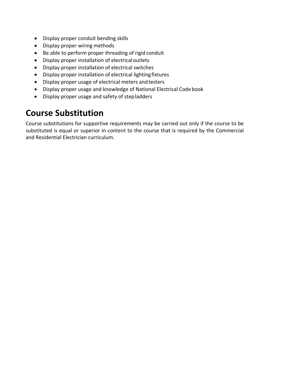- Display proper conduit bending skills
- Display proper wiring methods
- Be able to perform proper threading of rigid conduit
- Display proper installation of electricaloutlets
- Display proper installation of electrical switches
- Display proper installation of electrical lightingfixtures
- Display proper usage of electrical meters andtesters
- Display proper usage and knowledge of National Electrical Code book
- Display proper usage and safety of stepladders

### <span id="page-14-0"></span>**Course Substitution**

Course substitutions for supportive requirements may be carried out only if the course to be substituted is equal or superior in content to the course that is required by the Commercial and Residential Electrician curriculum.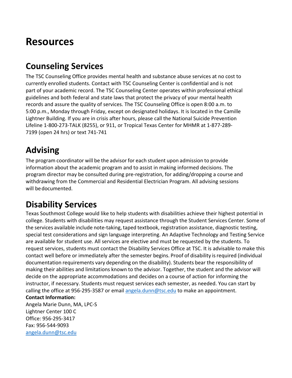# <span id="page-15-0"></span>**Resources**

## <span id="page-15-1"></span>**Counseling Services**

The TSC Counseling Office provides mental health and substance abuse services at no cost to currently enrolled students. Contact with TSC Counseling Center is confidential and is not part of your academic record. The TSC Counseling Center operates within professional ethical guidelines and both federal and state laws that protect the privacy of your mental health records and assure the quality of services. The TSC Counseling Office is open 8:00 a.m. to 5:00 p.m., Monday through Friday, except on designated holidays. It is located in the Camille Lightner Building. If you are in crisis after hours, please call the National Suicide Prevention Lifeline 1-800-273-TALK (8255), or 911, or Tropical Texas Center for MHMR at 1-877-289- 7199 (open 24 hrs) or text 741-741

## <span id="page-15-2"></span>**Advising**

The program coordinator will be the advisor for each student upon admission to provide information about the academic program and to assist in making informed decisions. The program director may be consulted during pre-registration, for adding/dropping a course and withdrawing from the Commercial and Residential Electrician Program. All advising sessions will bedocumented.

## <span id="page-15-3"></span>**Disability Services**

Texas Southmost College would like to help students with disabilities achieve their highest potential in college. Students with disabilities may request assistance through the Student Services Center. Some of the services available include note-taking, taped textbook, registration assistance, diagnostic testing, special test considerations and sign language interpreting. An Adaptive Technology and Testing Service are available for student use. All services are elective and must be requested by the students. To request services, students must contact the Disability Services Office at TSC. It is advisable to make this contact well before or immediately after the semester begins. Proof of disability isrequired (individual documentation requirements vary depending on the disability). Students bear the responsibility of making their abilities and limitations known to the advisor. Together, the student and the advisor will decide on the appropriate accommodations and decides on a course of action for informing the instructor, if necessary. Students must request services each semester, as needed. You can start by calling the office at 956-295-3587 or email [angela.dunn@tsc.edu](mailto:angela.dunn@tsc.edu) to make an appointment.

### **Contact Information:**

Angela Marie Dunn, MA, LPC-S Lightner Center 100 C Office: 956-295-3417 Fax: 956-544-9093 [angela.dunn@tsc.edu](mailto:angela.dunn@tsc.edu)